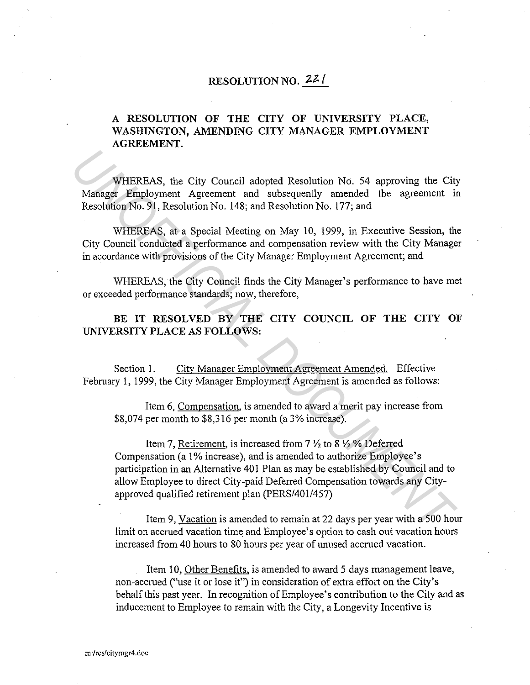## **RESOLUTION NO. 22/**

## **A RESOLUTION OF THE CITY OF UNIVERSITY PLACE, WASHINGTON, AMENDING CITY MANAGER EMPLOYMENT AGREEMENT.**

WHEREAS, the City Council adopted Resolution No. 54 approving the City Manager Employment Agreement and subsequently amended the agreement in Resolution No. 91, Resolution No. 148; and Resolution No. 177; and

WHEREAS, at a Special Meeting on May 10, 1999, in Executive Session, the City Council conducted a performance and compensation review with the City Manager in accordance with provisions of the City Manager Employment Agreement; and

WHEREAS, the City Council finds the City Manager's performance to have met or exceeded performance standards; now, therefore,

BE IT RESOLVED BY THE CITY COUNCIL OF THE CITY OF **UNIVERSITY PLACE AS FOLLOWS:** 

Section 1. City Manager Employment Agreement Amended. Effective February !, 1999, the City Manager Employment Agreement is amended as follows:

Item 6, Compensation, is amended to award a merit pay increase from \$8,074 per month to \$8,316 per month (a 3% increase).

Item 7, Retirement, is increased from 7 *Yi* to 8 *Yi* % Deferred Compensation (a 1% increase), and is amended to authorize Employee's participation in an Alternative 401 Plan as may be established by Council and to allow Employee to direct City-paid Deferred Compensation towards any Cityapproved qualified retirement plan (PERS/401/457) **WHEREAS, the City Council adopted Resolution No. 54 approving the City Manager Employment Agreement and subsequently amended the agreement in Resolution No. 94, Resolution No. 148; and Resolution No. 177; and WHEREAS, at** 

Item 9, Vacation is amended to remain at 22 days per year with a 500 hour limit on accrued vacation time and Employee's option to cash out vacation hours increased from 40 hours to 80 hours per year of unused accrued vacation.

Item 10, Other Benefits, is amended to award 5 days management leave, non-accrued ("use it or lose it") in consideration of extra effort on the City's behalf this past year. In recognition of Employee's contribution to the City and as inducement to Employee to remain with the City, a Longevity Incentive is